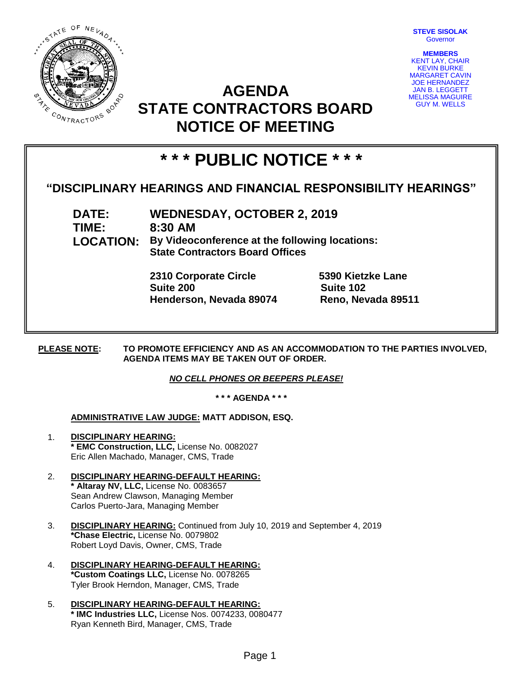

**STEVE SISOLAK** Governor

**MEMBERS** KENT LAY, CHAIR KEVIN BURKE MARGARET CAVIN JOE HERNANDEZ JAN B. LEGGETT MELISSA MAGUIRE GUY M. WELLS

## **AGENDA STATE CONTRACTORS BOARD NOTICE OF MEETING**

# **\* \* \* PUBLIC NOTICE \* \* \***

### **"DISCIPLINARY HEARINGS AND FINANCIAL RESPONSIBILITY HEARINGS"**

**DATE: WEDNESDAY, OCTOBER 2, 2019 TIME: 8:30 AM LOCATION: By Videoconference at the following locations: State Contractors Board Offices**

> **2310 Corporate Circle 5390 Kietzke Lane Suite 200 Suite 102 Henderson, Nevada 89074 Reno, Nevada 89511**

**PLEASE NOTE: TO PROMOTE EFFICIENCY AND AS AN ACCOMMODATION TO THE PARTIES INVOLVED, AGENDA ITEMS MAY BE TAKEN OUT OF ORDER.**

#### *NO CELL PHONES OR BEEPERS PLEASE!*

**\* \* \* AGENDA \* \* \***

#### **ADMINISTRATIVE LAW JUDGE: MATT ADDISON, ESQ.**

- 1. **DISCIPLINARY HEARING: \* EMC Construction, LLC,** License No. 0082027 Eric Allen Machado, Manager, CMS, Trade
- 2. **DISCIPLINARY HEARING-DEFAULT HEARING: \* Altaray NV, LLC,** License No. 0083657 Sean Andrew Clawson, Managing Member Carlos Puerto-Jara, Managing Member
- 3. **DISCIPLINARY HEARING:** Continued from July 10, 2019 and September 4, 2019 **\*Chase Electric,** License No. 0079802 Robert Loyd Davis, Owner, CMS, Trade
- 4. **DISCIPLINARY HEARING-DEFAULT HEARING: \*Custom Coatings LLC,** License No. 0078265 Tyler Brook Herndon, Manager, CMS, Trade
- 5. **DISCIPLINARY HEARING-DEFAULT HEARING: \* IMC Industries LLC,** License Nos. 0074233, 0080477 Ryan Kenneth Bird, Manager, CMS, Trade